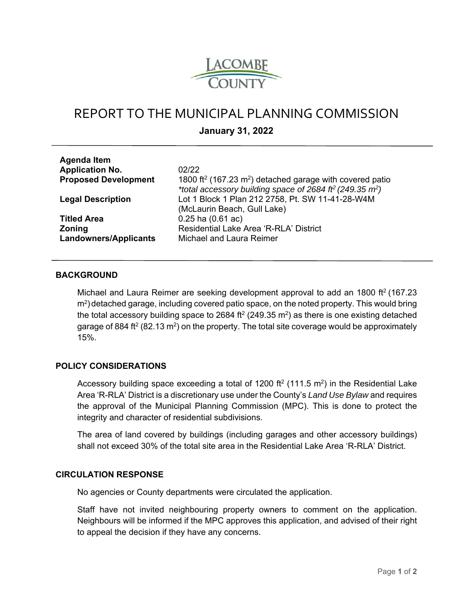

# REPORT TO THE MUNICIPAL PLANNING COMMISSION

**January 31, 2022** 

| <b>Agenda Item</b>           |                                                                                                                                                                      |
|------------------------------|----------------------------------------------------------------------------------------------------------------------------------------------------------------------|
| <b>Application No.</b>       | 02/22                                                                                                                                                                |
| <b>Proposed Development</b>  | 1800 ft <sup>2</sup> (167.23 m <sup>2</sup> ) detached garage with covered patio<br>*total accessory building space of 2684 ff <sup>2</sup> (249.35 m <sup>2</sup> ) |
| <b>Legal Description</b>     | Lot 1 Block 1 Plan 212 2758, Pt. SW 11-41-28-W4M<br>(McLaurin Beach, Gull Lake)                                                                                      |
| <b>Titled Area</b>           | $0.25$ ha $(0.61$ ac)                                                                                                                                                |
| <b>Zoning</b>                | Residential Lake Area 'R-RLA' District                                                                                                                               |
| <b>Landowners/Applicants</b> | Michael and Laura Reimer                                                                                                                                             |

#### **BACKGROUND**

Michael and Laura Reimer are seeking development approval to add an 1800 ft<sup>2</sup> (167.23  $m<sup>2</sup>$ ) detached garage, including covered patio space, on the noted property. This would bring the total accessory building space to 2684 ft<sup>2</sup> (249.35 m<sup>2</sup>) as there is one existing detached garage of 884 ft<sup>2</sup> (82.13 m<sup>2</sup>) on the property. The total site coverage would be approximately 15%.

## **POLICY CONSIDERATIONS**

Accessory building space exceeding a total of 1200 ft<sup>2</sup> (111.5 m<sup>2</sup>) in the Residential Lake Area 'R-RLA' District is a discretionary use under the County's *Land Use Bylaw* and requires the approval of the Municipal Planning Commission (MPC). This is done to protect the integrity and character of residential subdivisions.

The area of land covered by buildings (including garages and other accessory buildings) shall not exceed 30% of the total site area in the Residential Lake Area 'R-RLA' District.

#### **CIRCULATION RESPONSE**

No agencies or County departments were circulated the application.

Staff have not invited neighbouring property owners to comment on the application. Neighbours will be informed if the MPC approves this application, and advised of their right to appeal the decision if they have any concerns.